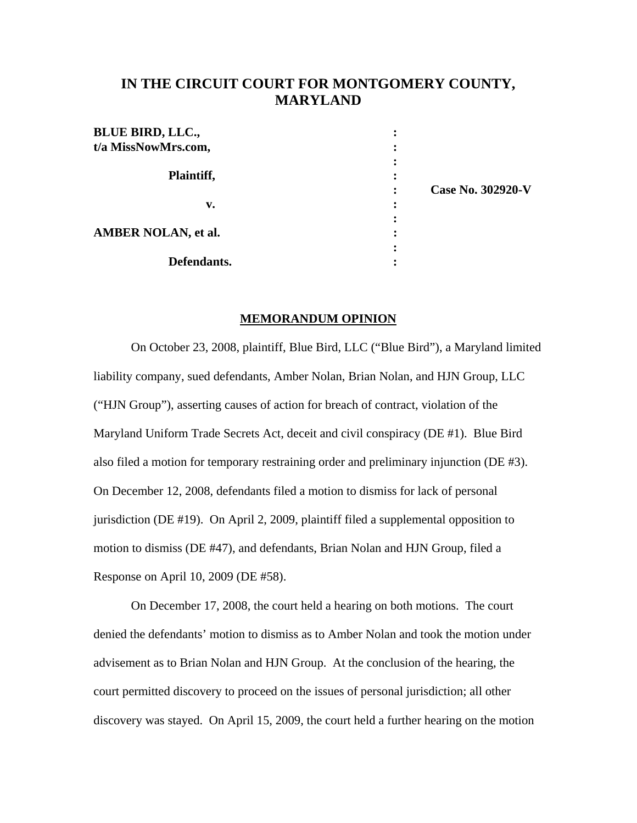# **IN THE CIRCUIT COURT FOR MONTGOMERY COUNTY, MARYLAND**

| <b>BLUE BIRD, LLC.,</b>    |                   |
|----------------------------|-------------------|
| t/a MissNowMrs.com,        |                   |
| Plaintiff,                 | Case No. 302920-V |
| v.                         |                   |
| <b>AMBER NOLAN, et al.</b> |                   |
| Defendants.                |                   |

#### **MEMORANDUM OPINION**

 On October 23, 2008, plaintiff, Blue Bird, LLC ("Blue Bird"), a Maryland limited liability company, sued defendants, Amber Nolan, Brian Nolan, and HJN Group, LLC ("HJN Group"), asserting causes of action for breach of contract, violation of the Maryland Uniform Trade Secrets Act, deceit and civil conspiracy (DE #1). Blue Bird also filed a motion for temporary restraining order and preliminary injunction (DE #3). On December 12, 2008, defendants filed a motion to dismiss for lack of personal jurisdiction (DE #19). On April 2, 2009, plaintiff filed a supplemental opposition to motion to dismiss (DE #47), and defendants, Brian Nolan and HJN Group, filed a Response on April 10, 2009 (DE #58).

 On December 17, 2008, the court held a hearing on both motions. The court denied the defendants' motion to dismiss as to Amber Nolan and took the motion under advisement as to Brian Nolan and HJN Group. At the conclusion of the hearing, the court permitted discovery to proceed on the issues of personal jurisdiction; all other discovery was stayed. On April 15, 2009, the court held a further hearing on the motion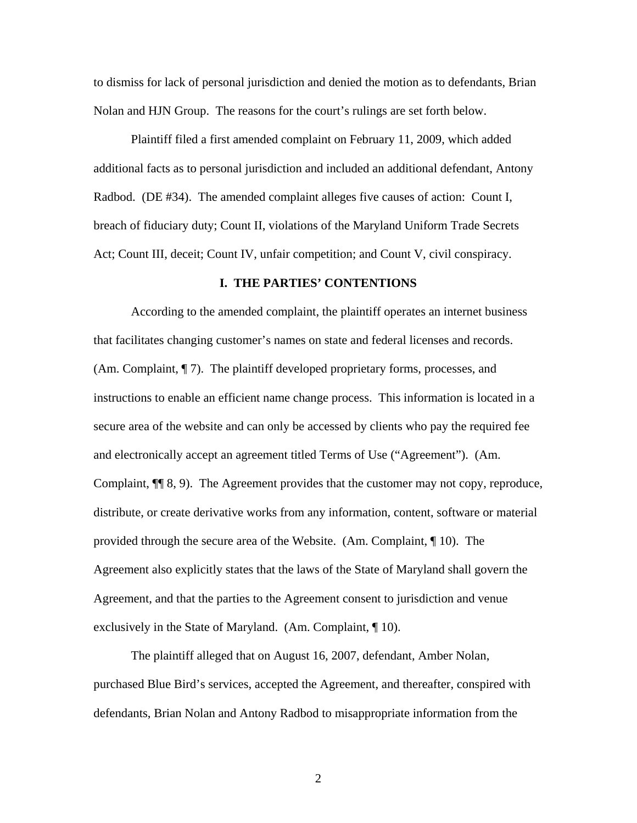to dismiss for lack of personal jurisdiction and denied the motion as to defendants, Brian Nolan and HJN Group. The reasons for the court's rulings are set forth below.

Plaintiff filed a first amended complaint on February 11, 2009, which added additional facts as to personal jurisdiction and included an additional defendant, Antony Radbod. (DE #34). The amended complaint alleges five causes of action: Count I, breach of fiduciary duty; Count II, violations of the Maryland Uniform Trade Secrets Act; Count III, deceit; Count IV, unfair competition; and Count V, civil conspiracy.

# **I. THE PARTIES' CONTENTIONS**

According to the amended complaint, the plaintiff operates an internet business that facilitates changing customer's names on state and federal licenses and records. (Am. Complaint, ¶ 7). The plaintiff developed proprietary forms, processes, and instructions to enable an efficient name change process. This information is located in a secure area of the website and can only be accessed by clients who pay the required fee and electronically accept an agreement titled Terms of Use ("Agreement"). (Am. Complaint, ¶¶ 8, 9). The Agreement provides that the customer may not copy, reproduce, distribute, or create derivative works from any information, content, software or material provided through the secure area of the Website. (Am. Complaint, ¶ 10). The Agreement also explicitly states that the laws of the State of Maryland shall govern the Agreement, and that the parties to the Agreement consent to jurisdiction and venue exclusively in the State of Maryland. (Am. Complaint, ¶ 10).

The plaintiff alleged that on August 16, 2007, defendant, Amber Nolan, purchased Blue Bird's services, accepted the Agreement, and thereafter, conspired with defendants, Brian Nolan and Antony Radbod to misappropriate information from the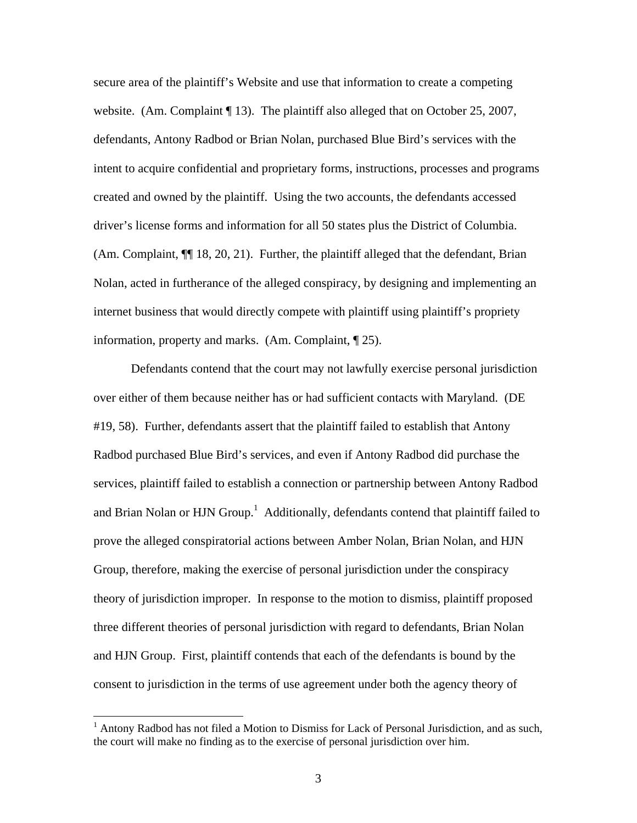secure area of the plaintiff's Website and use that information to create a competing website. (Am. Complaint  $\P$  13). The plaintiff also alleged that on October 25, 2007, defendants, Antony Radbod or Brian Nolan, purchased Blue Bird's services with the intent to acquire confidential and proprietary forms, instructions, processes and programs created and owned by the plaintiff. Using the two accounts, the defendants accessed driver's license forms and information for all 50 states plus the District of Columbia. (Am. Complaint,  $\P$  18, 20, 21). Further, the plaintiff alleged that the defendant, Brian Nolan, acted in furtherance of the alleged conspiracy, by designing and implementing an internet business that would directly compete with plaintiff using plaintiff's propriety information, property and marks. (Am. Complaint, ¶ 25).

 Defendants contend that the court may not lawfully exercise personal jurisdiction over either of them because neither has or had sufficient contacts with Maryland. (DE #19, 58). Further, defendants assert that the plaintiff failed to establish that Antony Radbod purchased Blue Bird's services, and even if Antony Radbod did purchase the services, plaintiff failed to establish a connection or partnership between Antony Radbod and Brian Nolan or HJN Group.<sup>1</sup> Additionally, defendants contend that plaintiff failed to prove the alleged conspiratorial actions between Amber Nolan, Brian Nolan, and HJN Group, therefore, making the exercise of personal jurisdiction under the conspiracy theory of jurisdiction improper. In response to the motion to dismiss, plaintiff proposed three different theories of personal jurisdiction with regard to defendants, Brian Nolan and HJN Group. First, plaintiff contends that each of the defendants is bound by the consent to jurisdiction in the terms of use agreement under both the agency theory of

<sup>&</sup>lt;sup>1</sup> Antony Radbod has not filed a Motion to Dismiss for Lack of Personal Jurisdiction, and as such, the court will make no finding as to the exercise of personal jurisdiction over him.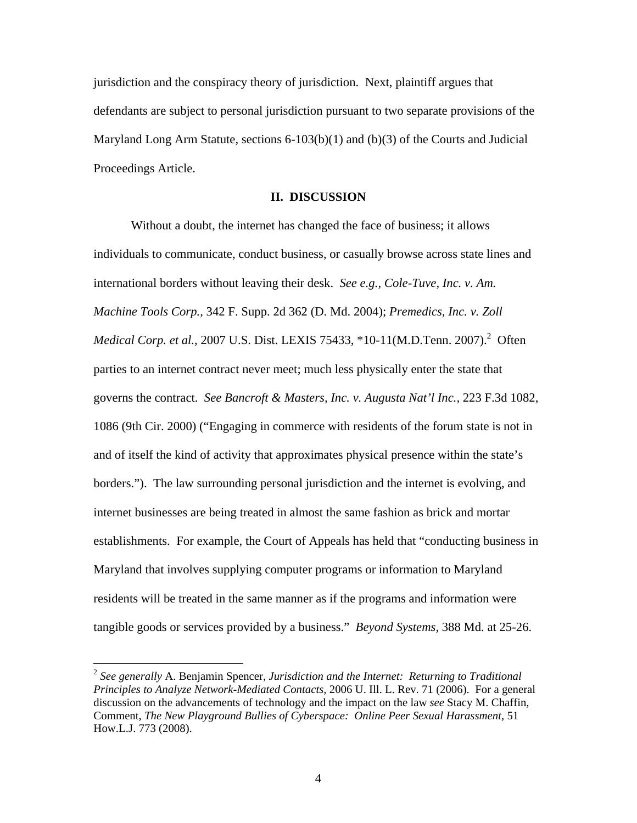jurisdiction and the conspiracy theory of jurisdiction. Next, plaintiff argues that defendants are subject to personal jurisdiction pursuant to two separate provisions of the Maryland Long Arm Statute, sections  $6-103(b)(1)$  and  $(b)(3)$  of the Courts and Judicial Proceedings Article.

# **II. DISCUSSION**

 Without a doubt, the internet has changed the face of business; it allows individuals to communicate, conduct business, or casually browse across state lines and international borders without leaving their desk. *See e.g., Cole-Tuve, Inc. v. Am. Machine Tools Corp.,* 342 F. Supp. 2d 362 (D. Md. 2004); *Premedics, Inc. v. Zoll Medical Corp. et al., 2007 U.S. Dist. LEXIS 75433, \*10-11(M.D.Tenn. 2007).*<sup>2</sup> Often parties to an internet contract never meet; much less physically enter the state that governs the contract. *See Bancroft & Masters, Inc. v. Augusta Nat'l Inc.,* 223 F.3d 1082, 1086 (9th Cir. 2000) ("Engaging in commerce with residents of the forum state is not in and of itself the kind of activity that approximates physical presence within the state's borders."). The law surrounding personal jurisdiction and the internet is evolving, and internet businesses are being treated in almost the same fashion as brick and mortar establishments. For example, the Court of Appeals has held that "conducting business in Maryland that involves supplying computer programs or information to Maryland residents will be treated in the same manner as if the programs and information were tangible goods or services provided by a business." *Beyond Systems*, 388 Md. at 25-26.

 $\overline{a}$ 

<sup>2</sup> *See generally* A. Benjamin Spencer, *Jurisdiction and the Internet: Returning to Traditional Principles to Analyze Network-Mediated Contacts,* 2006 U. Ill. L. Rev. 71 (2006). For a general discussion on the advancements of technology and the impact on the law *see* Stacy M. Chaffin, Comment, *The New Playground Bullies of Cyberspace: Online Peer Sexual Harassment*, 51 How.L.J. 773 (2008).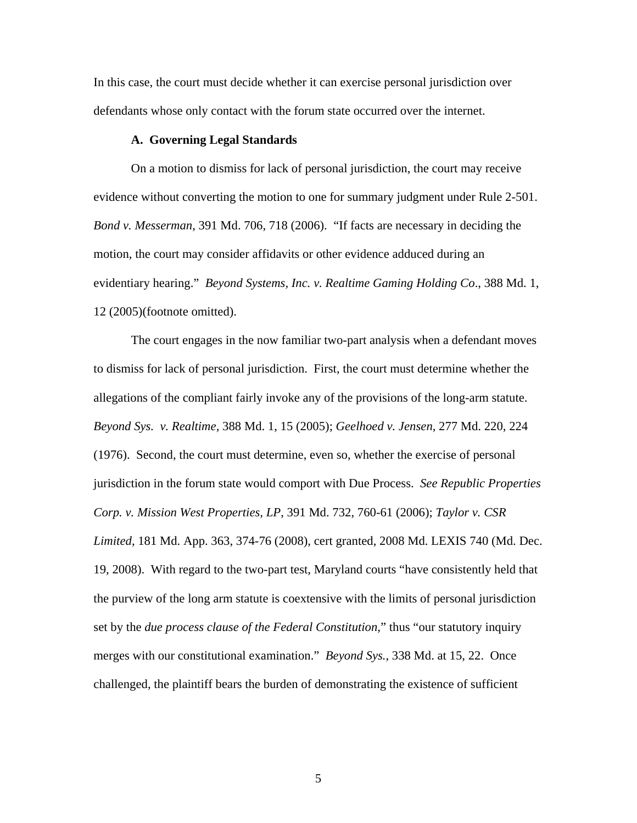In this case, the court must decide whether it can exercise personal jurisdiction over defendants whose only contact with the forum state occurred over the internet.

## **A. Governing Legal Standards**

 On a motion to dismiss for lack of personal jurisdiction, the court may receive evidence without converting the motion to one for summary judgment under Rule 2-501. *Bond v. Messerman*, 391 Md. 706, 718 (2006). "If facts are necessary in deciding the motion, the court may consider affidavits or other evidence adduced during an evidentiary hearing." *Beyond Systems, Inc. v. Realtime Gaming Holding Co*., 388 Md. 1, 12 (2005)(footnote omitted).

The court engages in the now familiar two-part analysis when a defendant moves to dismiss for lack of personal jurisdiction. First, the court must determine whether the allegations of the compliant fairly invoke any of the provisions of the long-arm statute. *Beyond Sys. v. Realtime*, 388 Md. 1, 15 (2005); *Geelhoed v. Jensen*, 277 Md. 220, 224 (1976). Second, the court must determine, even so, whether the exercise of personal jurisdiction in the forum state would comport with Due Process. *See Republic Properties Corp. v. Mission West Properties, LP*, 391 Md. 732, 760-61 (2006); *Taylor v. CSR Limited*, 181 Md. App. 363, 374-76 (2008), cert granted, 2008 Md. LEXIS 740 (Md. Dec. 19, 2008). With regard to the two-part test, Maryland courts "have consistently held that the purview of the long arm statute is coextensive with the limits of personal jurisdiction set by the *due process clause of the Federal Constitution*," thus "our statutory inquiry merges with our constitutional examination." *Beyond Sys.*, 338 Md. at 15, 22. Once challenged, the plaintiff bears the burden of demonstrating the existence of sufficient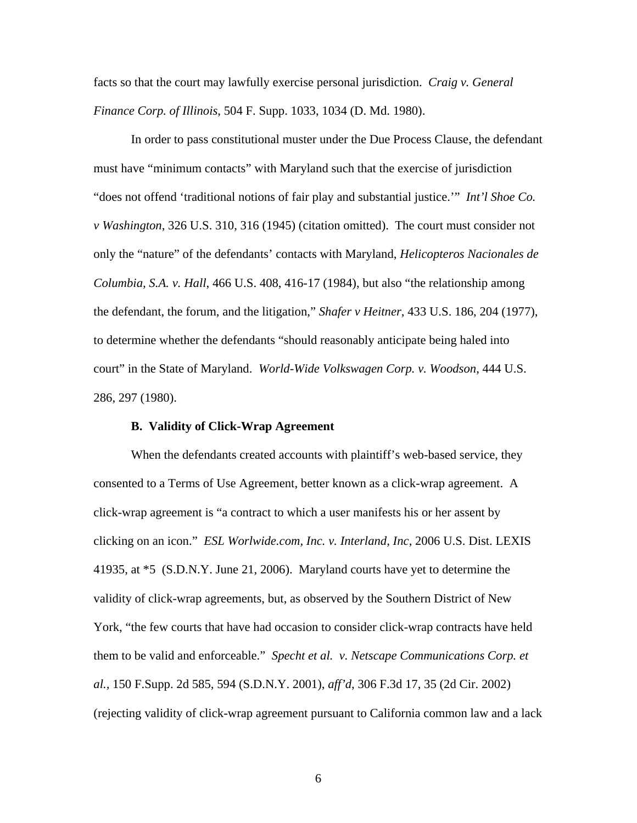facts so that the court may lawfully exercise personal jurisdiction. *Craig v. General Finance Corp. of Illinois*, 504 F. Supp. 1033, 1034 (D. Md. 1980).

In order to pass constitutional muster under the Due Process Clause, the defendant must have "minimum contacts" with Maryland such that the exercise of jurisdiction "does not offend 'traditional notions of fair play and substantial justice.'" *Int'l Shoe Co. v Washington*, 326 U.S. 310, 316 (1945) (citation omitted). The court must consider not only the "nature" of the defendants' contacts with Maryland, *Helicopteros Nacionales de Columbia, S.A. v. Hall*, 466 U.S. 408, 416-17 (1984), but also "the relationship among the defendant, the forum, and the litigation," *Shafer v Heitner*, 433 U.S. 186, 204 (1977), to determine whether the defendants "should reasonably anticipate being haled into court" in the State of Maryland. *World-Wide Volkswagen Corp. v. Woodson*, 444 U.S. 286, 297 (1980).

# **B. Validity of Click-Wrap Agreement**

 When the defendants created accounts with plaintiff's web-based service, they consented to a Terms of Use Agreement, better known as a click-wrap agreement. A click-wrap agreement is "a contract to which a user manifests his or her assent by clicking on an icon." *ESL Worlwide.com, Inc. v. Interland, Inc*, 2006 U.S. Dist. LEXIS 41935, at \*5 (S.D.N.Y. June 21, 2006). Maryland courts have yet to determine the validity of click-wrap agreements, but, as observed by the Southern District of New York, "the few courts that have had occasion to consider click-wrap contracts have held them to be valid and enforceable." *Specht et al. v. Netscape Communications Corp. et al.,* 150 F.Supp. 2d 585, 594 (S.D.N.Y. 2001), *aff'd*, 306 F.3d 17, 35 (2d Cir. 2002) (rejecting validity of click-wrap agreement pursuant to California common law and a lack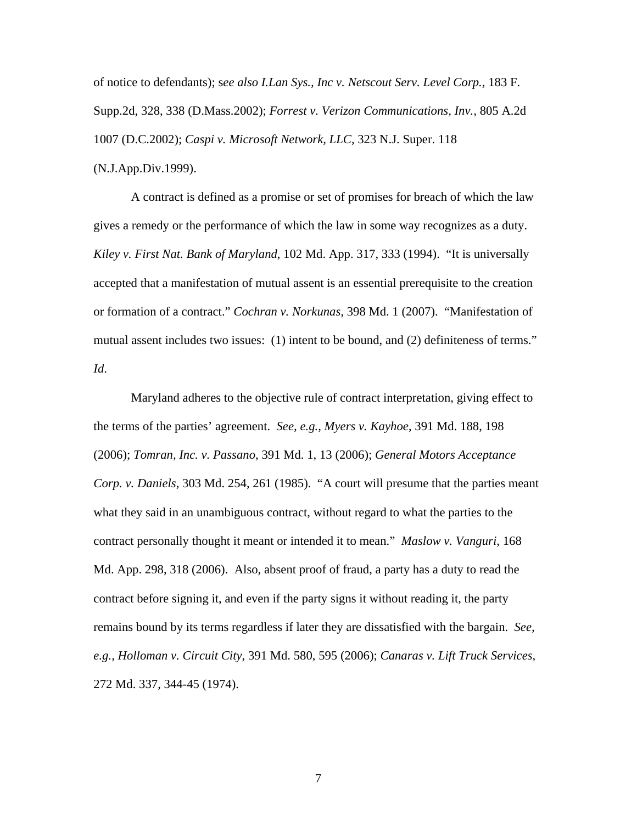of notice to defendants); s*ee also I.Lan Sys., Inc v. Netscout Serv. Level Corp.,* 183 F. Supp.2d, 328, 338 (D.Mass.2002); *Forrest v. Verizon Communications, Inv.,* 805 A.2d 1007 (D.C.2002); *Caspi v. Microsoft Network, LLC,* 323 N.J. Super. 118 (N.J.App.Div.1999).

A contract is defined as a promise or set of promises for breach of which the law gives a remedy or the performance of which the law in some way recognizes as a duty. *Kiley v. First Nat. Bank of Maryland*, 102 Md. App. 317, 333 (1994). "It is universally accepted that a manifestation of mutual assent is an essential prerequisite to the creation or formation of a contract." *Cochran v. Norkunas,* 398 Md. 1 (2007). "Manifestation of mutual assent includes two issues: (1) intent to be bound, and (2) definiteness of terms." *Id*.

Maryland adheres to the objective rule of contract interpretation, giving effect to the terms of the parties' agreement. *See, e.g., Myers v. Kayhoe*, 391 Md. 188, 198 (2006); *Tomran, Inc. v. Passano*, 391 Md. 1, 13 (2006); *General Motors Acceptance Corp. v. Daniels*, 303 Md. 254, 261 (1985). "A court will presume that the parties meant what they said in an unambiguous contract, without regard to what the parties to the contract personally thought it meant or intended it to mean." *Maslow v. Vanguri*, 168 Md. App. 298, 318 (2006). Also, absent proof of fraud, a party has a duty to read the contract before signing it, and even if the party signs it without reading it, the party remains bound by its terms regardless if later they are dissatisfied with the bargain. *See, e.g., Holloman v. Circuit City*, 391 Md. 580, 595 (2006); *Canaras v. Lift Truck Services,*  272 Md. 337, 344-45 (1974).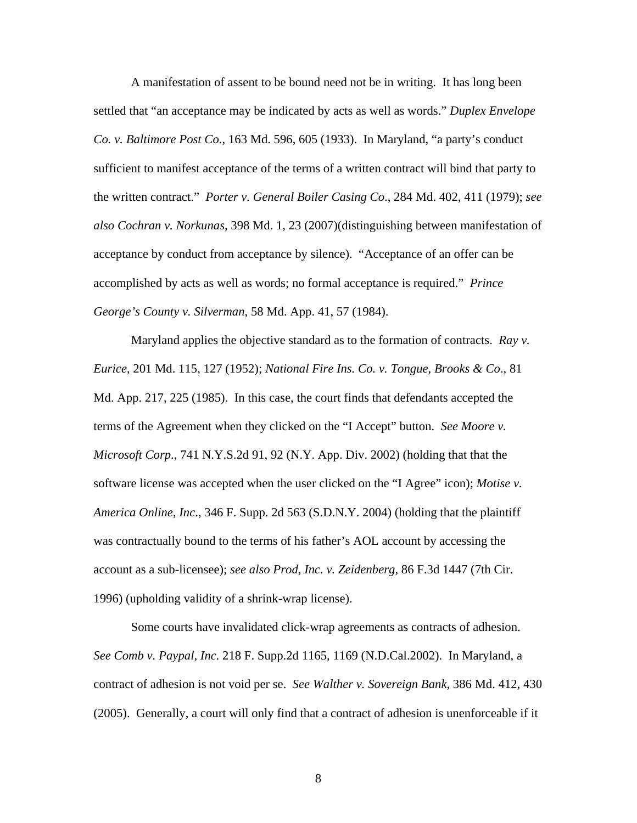A manifestation of assent to be bound need not be in writing. It has long been settled that "an acceptance may be indicated by acts as well as words." *Duplex Envelope Co. v. Baltimore Post Co.*, 163 Md. 596, 605 (1933). In Maryland, "a party's conduct sufficient to manifest acceptance of the terms of a written contract will bind that party to the written contract." *Porter v. General Boiler Casing Co*., 284 Md. 402, 411 (1979); *see also Cochran v. Norkunas*, 398 Md. 1, 23 (2007)(distinguishing between manifestation of acceptance by conduct from acceptance by silence). "Acceptance of an offer can be accomplished by acts as well as words; no formal acceptance is required." *Prince George's County v. Silverman*, 58 Md. App. 41, 57 (1984).

Maryland applies the objective standard as to the formation of contracts. *Ray v. Eurice*, 201 Md. 115, 127 (1952); *National Fire Ins. Co. v. Tongue, Brooks & Co*., 81 Md. App. 217, 225 (1985). In this case, the court finds that defendants accepted the terms of the Agreement when they clicked on the "I Accept" button. *See Moore v. Microsoft Corp*., 741 N.Y.S.2d 91, 92 (N.Y. App. Div. 2002) (holding that that the software license was accepted when the user clicked on the "I Agree" icon); *Motise v. America Online, Inc*., 346 F. Supp. 2d 563 (S.D.N.Y. 2004) (holding that the plaintiff was contractually bound to the terms of his father's AOL account by accessing the account as a sub-licensee); *see also Prod, Inc. v. Zeidenberg,* 86 F.3d 1447 (7th Cir. 1996) (upholding validity of a shrink-wrap license).

 Some courts have invalidated click-wrap agreements as contracts of adhesion. *See Comb v. Paypal, Inc.* 218 F. Supp.2d 1165, 1169 (N.D.Cal.2002). In Maryland, a contract of adhesion is not void per se. *See Walther v. Sovereign Bank*, 386 Md. 412, 430 (2005). Generally, a court will only find that a contract of adhesion is unenforceable if it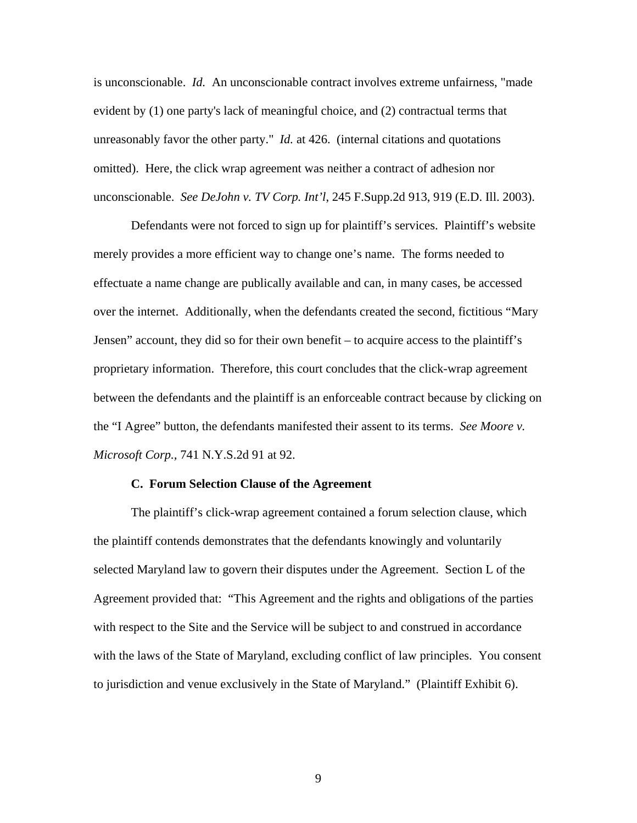is unconscionable. *Id.* An unconscionable contract involves extreme unfairness, "made evident by (1) one party's lack of meaningful choice, and (2) contractual terms that unreasonably favor the other party." *Id.* at 426. (internal citations and quotations omitted). Here, the click wrap agreement was neither a contract of adhesion nor unconscionable. *See DeJohn v. TV Corp. Int'l*, 245 F.Supp.2d 913, 919 (E.D. Ill. 2003).

 Defendants were not forced to sign up for plaintiff's services. Plaintiff's website merely provides a more efficient way to change one's name. The forms needed to effectuate a name change are publically available and can, in many cases, be accessed over the internet. Additionally, when the defendants created the second, fictitious "Mary Jensen" account, they did so for their own benefit – to acquire access to the plaintiff's proprietary information. Therefore, this court concludes that the click-wrap agreement between the defendants and the plaintiff is an enforceable contract because by clicking on the "I Agree" button, the defendants manifested their assent to its terms. *See Moore v. Microsoft Corp.,* 741 N.Y.S.2d 91 at 92.

## **C. Forum Selection Clause of the Agreement**

 The plaintiff's click-wrap agreement contained a forum selection clause, which the plaintiff contends demonstrates that the defendants knowingly and voluntarily selected Maryland law to govern their disputes under the Agreement. Section L of the Agreement provided that: "This Agreement and the rights and obligations of the parties with respect to the Site and the Service will be subject to and construed in accordance with the laws of the State of Maryland, excluding conflict of law principles. You consent to jurisdiction and venue exclusively in the State of Maryland." (Plaintiff Exhibit 6).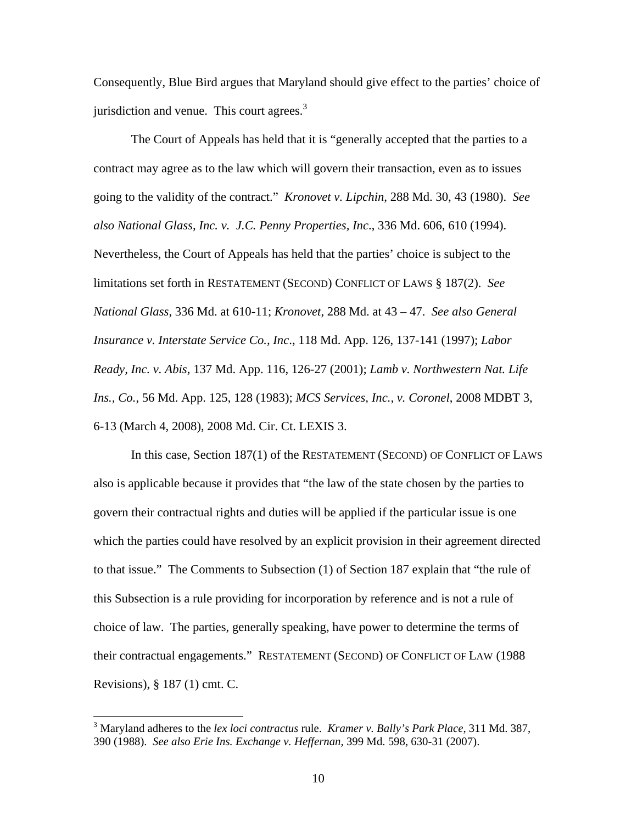Consequently, Blue Bird argues that Maryland should give effect to the parties' choice of jurisdiction and venue. This court agrees.<sup>3</sup>

 The Court of Appeals has held that it is "generally accepted that the parties to a contract may agree as to the law which will govern their transaction, even as to issues going to the validity of the contract." *Kronovet v. Lipchin*, 288 Md. 30, 43 (1980). *See also National Glass, Inc. v. J.C. Penny Properties, Inc*., 336 Md. 606, 610 (1994). Nevertheless, the Court of Appeals has held that the parties' choice is subject to the limitations set forth in RESTATEMENT (SECOND) CONFLICT OF LAWS § 187(2). *See National Glass*, 336 Md. at 610-11; *Kronovet*, 288 Md. at 43 – 47. *See also General Insurance v. Interstate Service Co., Inc*., 118 Md. App. 126, 137-141 (1997); *Labor Ready, Inc. v. Abis*, 137 Md. App. 116, 126-27 (2001); *Lamb v. Northwestern Nat. Life Ins., Co.*, 56 Md. App. 125, 128 (1983); *MCS Services, Inc., v. Coronel*, 2008 MDBT 3, 6-13 (March 4, 2008), 2008 Md. Cir. Ct. LEXIS 3.

In this case, Section 187(1) of the RESTATEMENT (SECOND) OF CONFLICT OF LAWS also is applicable because it provides that "the law of the state chosen by the parties to govern their contractual rights and duties will be applied if the particular issue is one which the parties could have resolved by an explicit provision in their agreement directed to that issue." The Comments to Subsection (1) of Section 187 explain that "the rule of this Subsection is a rule providing for incorporation by reference and is not a rule of choice of law. The parties, generally speaking, have power to determine the terms of their contractual engagements." RESTATEMENT (SECOND) OF CONFLICT OF LAW (1988 Revisions), § 187 (1) cmt. C.

 $\overline{a}$ 

<sup>3</sup> Maryland adheres to the *lex loci contractus* rule. *Kramer v. Bally's Park Place*, 311 Md. 387, 390 (1988). *See also Erie Ins. Exchange v. Heffernan*, 399 Md. 598, 630-31 (2007).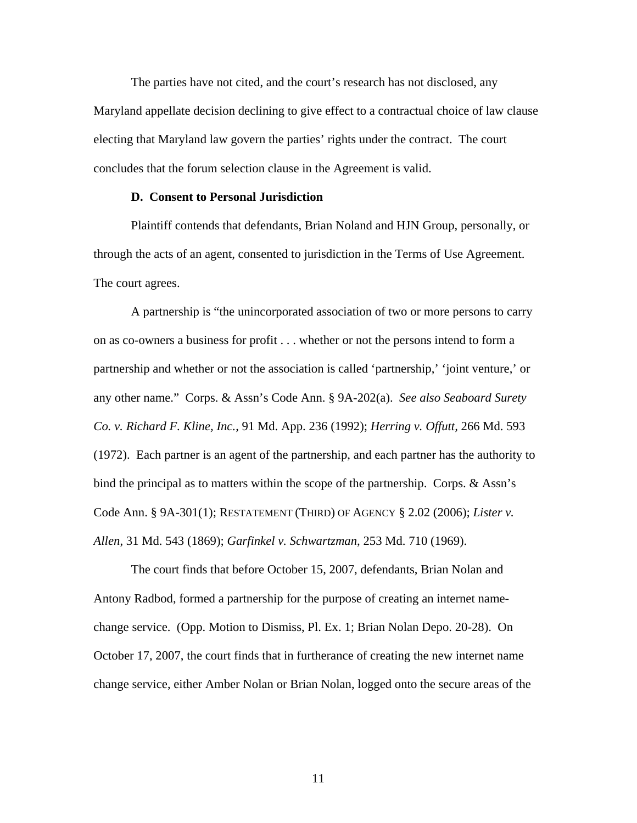The parties have not cited, and the court's research has not disclosed, any Maryland appellate decision declining to give effect to a contractual choice of law clause electing that Maryland law govern the parties' rights under the contract. The court concludes that the forum selection clause in the Agreement is valid.

## **D. Consent to Personal Jurisdiction**

 Plaintiff contends that defendants, Brian Noland and HJN Group, personally, or through the acts of an agent, consented to jurisdiction in the Terms of Use Agreement. The court agrees.

 A partnership is "the unincorporated association of two or more persons to carry on as co-owners a business for profit . . . whether or not the persons intend to form a partnership and whether or not the association is called 'partnership,' 'joint venture,' or any other name." Corps. & Assn's Code Ann. § 9A-202(a). *See also Seaboard Surety Co. v. Richard F. Kline, Inc.*, 91 Md. App. 236 (1992); *Herring v. Offutt,* 266 Md. 593 (1972). Each partner is an agent of the partnership, and each partner has the authority to bind the principal as to matters within the scope of the partnership. Corps. & Assn's Code Ann. § 9A-301(1); RESTATEMENT (THIRD) OF AGENCY § 2.02 (2006); *Lister v. Allen*, 31 Md. 543 (1869); *Garfinkel v. Schwartzman*, 253 Md. 710 (1969).

 The court finds that before October 15, 2007, defendants, Brian Nolan and Antony Radbod, formed a partnership for the purpose of creating an internet namechange service. (Opp. Motion to Dismiss, Pl. Ex. 1; Brian Nolan Depo. 20-28). On October 17, 2007, the court finds that in furtherance of creating the new internet name change service, either Amber Nolan or Brian Nolan, logged onto the secure areas of the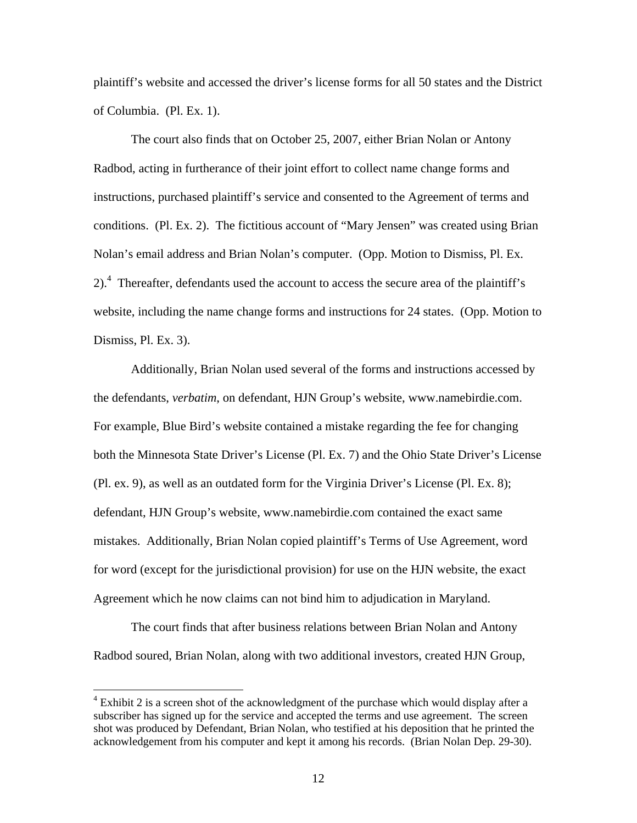plaintiff's website and accessed the driver's license forms for all 50 states and the District of Columbia. (Pl. Ex. 1).

 The court also finds that on October 25, 2007, either Brian Nolan or Antony Radbod, acting in furtherance of their joint effort to collect name change forms and instructions, purchased plaintiff's service and consented to the Agreement of terms and conditions. (Pl. Ex. 2). The fictitious account of "Mary Jensen" was created using Brian Nolan's email address and Brian Nolan's computer. (Opp. Motion to Dismiss, Pl. Ex. 2).<sup>4</sup> Thereafter, defendants used the account to access the secure area of the plaintiff's website, including the name change forms and instructions for 24 states. (Opp. Motion to Dismiss, Pl. Ex. 3).

 Additionally, Brian Nolan used several of the forms and instructions accessed by the defendants, *verbatim*, on defendant, HJN Group's website, www.namebirdie.com. For example, Blue Bird's website contained a mistake regarding the fee for changing both the Minnesota State Driver's License (Pl. Ex. 7) and the Ohio State Driver's License (Pl. ex. 9), as well as an outdated form for the Virginia Driver's License (Pl. Ex. 8); defendant, HJN Group's website, www.namebirdie.com contained the exact same mistakes. Additionally, Brian Nolan copied plaintiff's Terms of Use Agreement, word for word (except for the jurisdictional provision) for use on the HJN website, the exact Agreement which he now claims can not bind him to adjudication in Maryland.

 The court finds that after business relations between Brian Nolan and Antony Radbod soured, Brian Nolan, along with two additional investors, created HJN Group,

 $\overline{a}$ 

 $4$  Exhibit 2 is a screen shot of the acknowledgment of the purchase which would display after a subscriber has signed up for the service and accepted the terms and use agreement. The screen shot was produced by Defendant, Brian Nolan, who testified at his deposition that he printed the acknowledgement from his computer and kept it among his records. (Brian Nolan Dep. 29-30).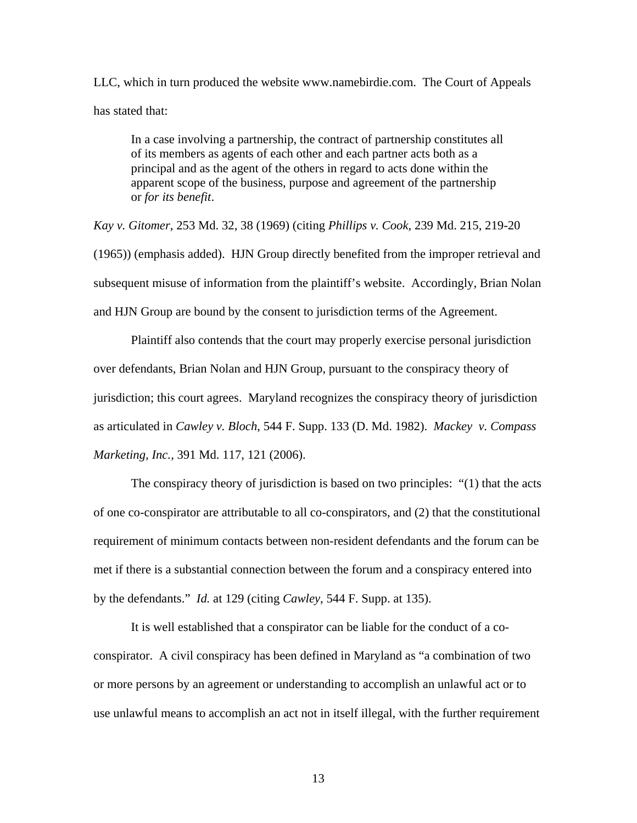LLC, which in turn produced the website www.namebirdie.com. The Court of Appeals has stated that:

In a case involving a partnership, the contract of partnership constitutes all of its members as agents of each other and each partner acts both as a principal and as the agent of the others in regard to acts done within the apparent scope of the business, purpose and agreement of the partnership or *for its benefit*.

*Kay v. Gitomer*, 253 Md. 32, 38 (1969) (citing *Phillips v. Cook*, 239 Md. 215, 219-20 (1965)) (emphasis added). HJN Group directly benefited from the improper retrieval and subsequent misuse of information from the plaintiff's website. Accordingly, Brian Nolan and HJN Group are bound by the consent to jurisdiction terms of the Agreement.

 Plaintiff also contends that the court may properly exercise personal jurisdiction over defendants, Brian Nolan and HJN Group, pursuant to the conspiracy theory of jurisdiction; this court agrees. Maryland recognizes the conspiracy theory of jurisdiction as articulated in *Cawley v. Bloch*, 544 F. Supp. 133 (D. Md. 1982). *Mackey v. Compass Marketing, Inc.,* 391 Md. 117, 121 (2006).

 The conspiracy theory of jurisdiction is based on two principles: "(1) that the acts of one co-conspirator are attributable to all co-conspirators, and (2) that the constitutional requirement of minimum contacts between non-resident defendants and the forum can be met if there is a substantial connection between the forum and a conspiracy entered into by the defendants." *Id.* at 129 (citing *Cawley*, 544 F. Supp. at 135).

 It is well established that a conspirator can be liable for the conduct of a coconspirator. A civil conspiracy has been defined in Maryland as "a combination of two or more persons by an agreement or understanding to accomplish an unlawful act or to use unlawful means to accomplish an act not in itself illegal, with the further requirement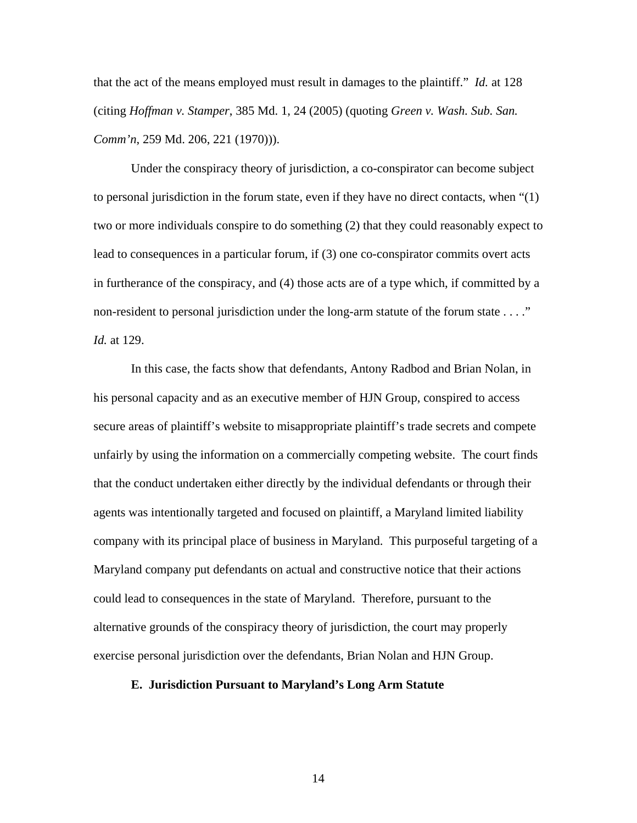that the act of the means employed must result in damages to the plaintiff." *Id.* at 128 (citing *Hoffman v. Stamper*, 385 Md. 1, 24 (2005) (quoting *Green v. Wash. Sub. San. Comm'n*, 259 Md. 206, 221 (1970))).

 Under the conspiracy theory of jurisdiction, a co-conspirator can become subject to personal jurisdiction in the forum state, even if they have no direct contacts, when "(1) two or more individuals conspire to do something (2) that they could reasonably expect to lead to consequences in a particular forum, if (3) one co-conspirator commits overt acts in furtherance of the conspiracy, and (4) those acts are of a type which, if committed by a non-resident to personal jurisdiction under the long-arm statute of the forum state . . . ." *Id.* at 129.

 In this case, the facts show that defendants, Antony Radbod and Brian Nolan, in his personal capacity and as an executive member of HJN Group, conspired to access secure areas of plaintiff's website to misappropriate plaintiff's trade secrets and compete unfairly by using the information on a commercially competing website. The court finds that the conduct undertaken either directly by the individual defendants or through their agents was intentionally targeted and focused on plaintiff, a Maryland limited liability company with its principal place of business in Maryland. This purposeful targeting of a Maryland company put defendants on actual and constructive notice that their actions could lead to consequences in the state of Maryland. Therefore, pursuant to the alternative grounds of the conspiracy theory of jurisdiction, the court may properly exercise personal jurisdiction over the defendants, Brian Nolan and HJN Group.

# **E. Jurisdiction Pursuant to Maryland's Long Arm Statute**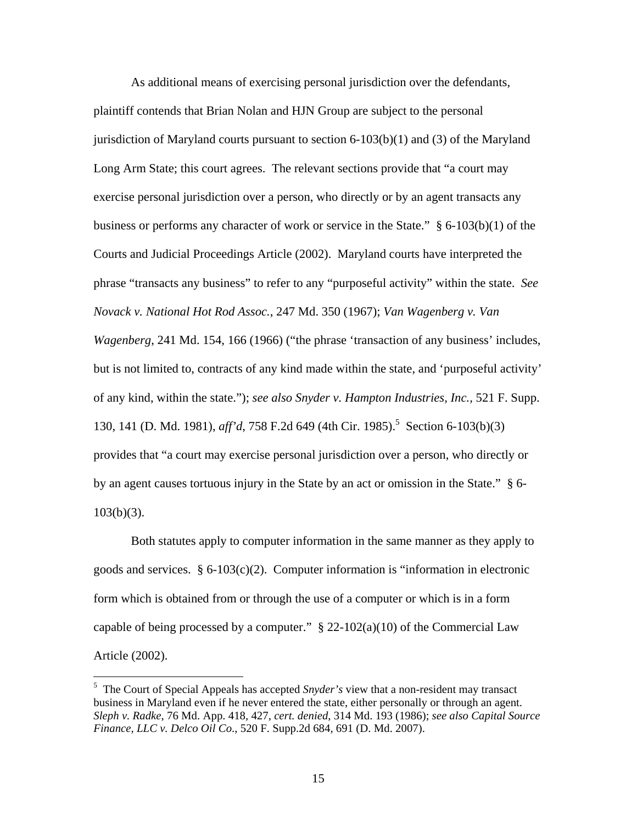As additional means of exercising personal jurisdiction over the defendants, plaintiff contends that Brian Nolan and HJN Group are subject to the personal jurisdiction of Maryland courts pursuant to section  $6-103(b)(1)$  and  $(3)$  of the Maryland Long Arm State; this court agrees. The relevant sections provide that "a court may exercise personal jurisdiction over a person, who directly or by an agent transacts any business or performs any character of work or service in the State." § 6-103(b)(1) of the Courts and Judicial Proceedings Article (2002). Maryland courts have interpreted the phrase "transacts any business" to refer to any "purposeful activity" within the state. *See Novack v. National Hot Rod Assoc.*, 247 Md. 350 (1967); *Van Wagenberg v. Van Wagenberg*, 241 Md. 154, 166 (1966) ("the phrase 'transaction of any business' includes, but is not limited to, contracts of any kind made within the state, and 'purposeful activity' of any kind, within the state."); *see also Snyder v. Hampton Industries, Inc.,* 521 F. Supp. 130, 141 (D. Md. 1981), *aff'd*, 758 F.2d 649 (4th Cir. 1985).<sup>5</sup> Section 6-103(b)(3) provides that "a court may exercise personal jurisdiction over a person, who directly or by an agent causes tortuous injury in the State by an act or omission in the State." § 6- 103(b)(3).

 Both statutes apply to computer information in the same manner as they apply to goods and services. § 6-103(c)(2). Computer information is "information in electronic form which is obtained from or through the use of a computer or which is in a form capable of being processed by a computer."  $\S 22-102(a)(10)$  of the Commercial Law Article (2002).

 $\overline{a}$ 

<sup>5</sup> The Court of Special Appeals has accepted *Snyder's* view that a non-resident may transact business in Maryland even if he never entered the state, either personally or through an agent. *Sleph v. Radke*, 76 Md. App. 418, 427, *cert. denied*, 314 Md. 193 (1986); *see also Capital Source Finance, LLC v. Delco Oil Co*., 520 F. Supp.2d 684, 691 (D. Md. 2007).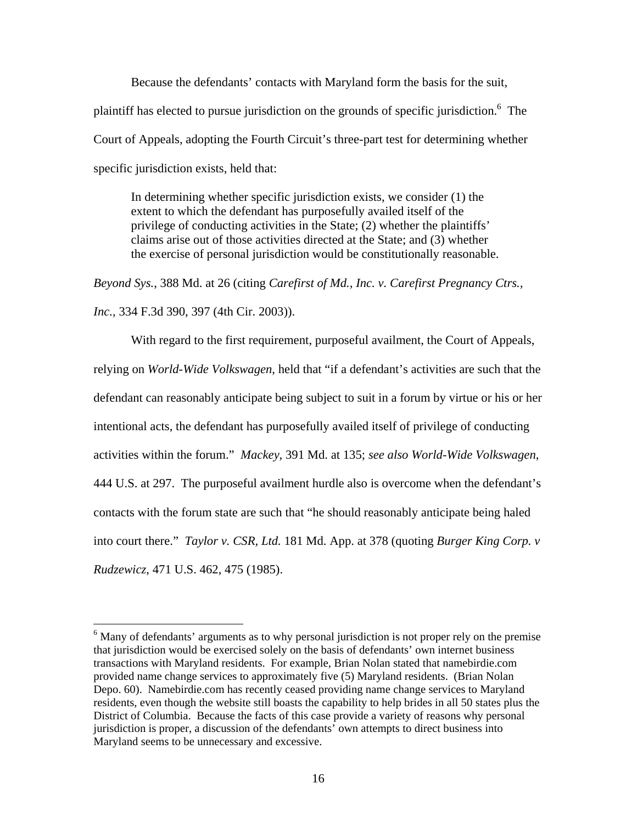Because the defendants' contacts with Maryland form the basis for the suit, plaintiff has elected to pursue jurisdiction on the grounds of specific jurisdiction.<sup>6</sup> The Court of Appeals, adopting the Fourth Circuit's three-part test for determining whether specific jurisdiction exists, held that:

In determining whether specific jurisdiction exists, we consider (1) the extent to which the defendant has purposefully availed itself of the privilege of conducting activities in the State; (2) whether the plaintiffs' claims arise out of those activities directed at the State; and (3) whether the exercise of personal jurisdiction would be constitutionally reasonable.

*Beyond Sys.*, 388 Md. at 26 (citing *Carefirst of Md., Inc. v. Carefirst Pregnancy Ctrs., Inc.,* 334 F.3d 390, 397 (4th Cir. 2003)).

 With regard to the first requirement, purposeful availment, the Court of Appeals, relying on *World-Wide Volkswagen*, held that "if a defendant's activities are such that the defendant can reasonably anticipate being subject to suit in a forum by virtue or his or her intentional acts, the defendant has purposefully availed itself of privilege of conducting activities within the forum." *Mackey*, 391 Md. at 135; *see also World-Wide Volkswagen*, 444 U.S. at 297. The purposeful availment hurdle also is overcome when the defendant's contacts with the forum state are such that "he should reasonably anticipate being haled into court there." *Taylor v. CSR, Ltd.* 181 Md. App. at 378 (quoting *Burger King Corp. v Rudzewicz*, 471 U.S. 462, 475 (1985).

<sup>&</sup>lt;sup>6</sup> Many of defendants' arguments as to why personal jurisdiction is not proper rely on the premise that jurisdiction would be exercised solely on the basis of defendants' own internet business transactions with Maryland residents. For example, Brian Nolan stated that namebirdie.com provided name change services to approximately five (5) Maryland residents. (Brian Nolan Depo. 60). Namebirdie.com has recently ceased providing name change services to Maryland residents, even though the website still boasts the capability to help brides in all 50 states plus the District of Columbia. Because the facts of this case provide a variety of reasons why personal jurisdiction is proper, a discussion of the defendants' own attempts to direct business into Maryland seems to be unnecessary and excessive.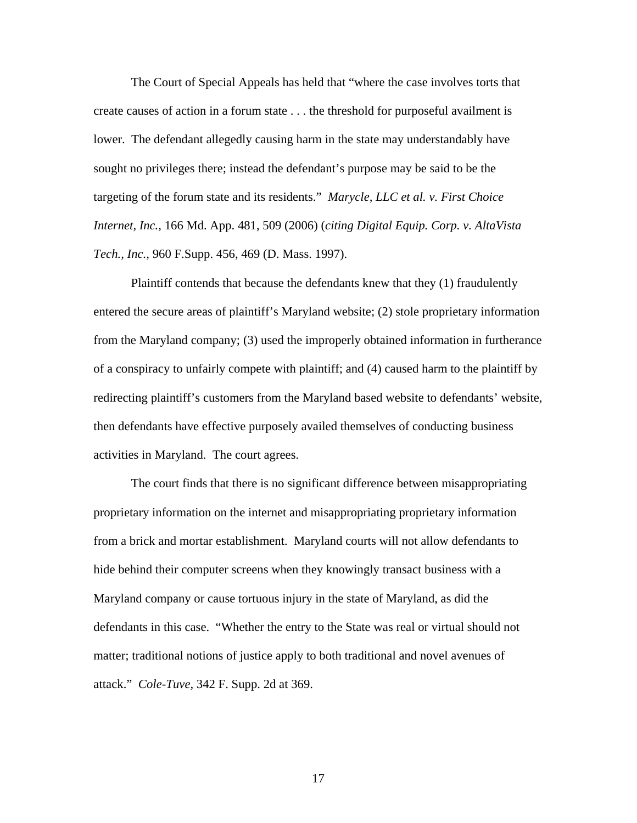The Court of Special Appeals has held that "where the case involves torts that create causes of action in a forum state . . . the threshold for purposeful availment is lower. The defendant allegedly causing harm in the state may understandably have sought no privileges there; instead the defendant's purpose may be said to be the targeting of the forum state and its residents." *Marycle, LLC et al. v. First Choice Internet, Inc.*, 166 Md. App. 481, 509 (2006) (*citing Digital Equip. Corp. v. AltaVista Tech., Inc.,* 960 F.Supp. 456, 469 (D. Mass. 1997).

 Plaintiff contends that because the defendants knew that they (1) fraudulently entered the secure areas of plaintiff's Maryland website; (2) stole proprietary information from the Maryland company; (3) used the improperly obtained information in furtherance of a conspiracy to unfairly compete with plaintiff; and (4) caused harm to the plaintiff by redirecting plaintiff's customers from the Maryland based website to defendants' website, then defendants have effective purposely availed themselves of conducting business activities in Maryland. The court agrees.

 The court finds that there is no significant difference between misappropriating proprietary information on the internet and misappropriating proprietary information from a brick and mortar establishment. Maryland courts will not allow defendants to hide behind their computer screens when they knowingly transact business with a Maryland company or cause tortuous injury in the state of Maryland, as did the defendants in this case. "Whether the entry to the State was real or virtual should not matter; traditional notions of justice apply to both traditional and novel avenues of attack." *Cole-Tuve,* 342 F. Supp. 2d at 369.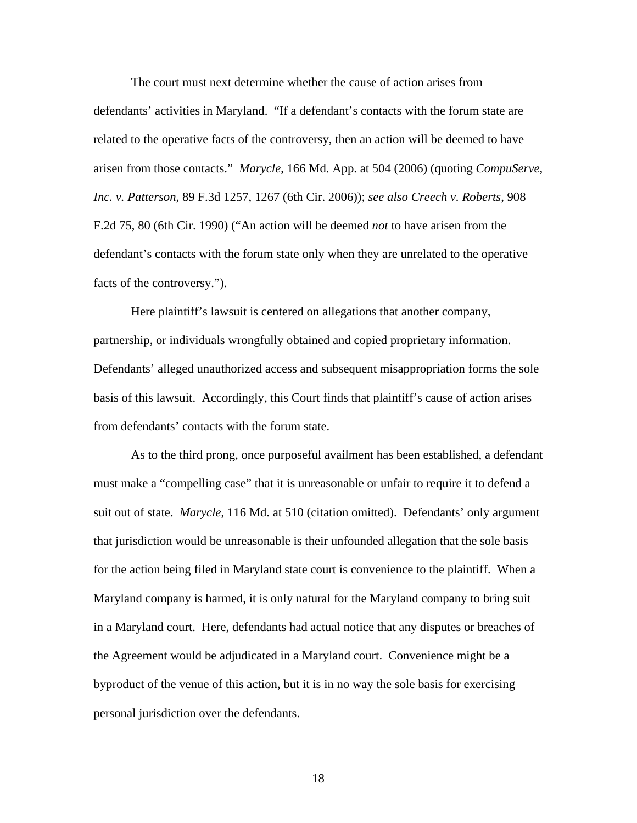The court must next determine whether the cause of action arises from defendants' activities in Maryland. "If a defendant's contacts with the forum state are related to the operative facts of the controversy, then an action will be deemed to have arisen from those contacts." *Marycle*, 166 Md. App. at 504 (2006) (quoting *CompuServe, Inc. v. Patterson*, 89 F.3d 1257, 1267 (6th Cir. 2006)); *see also Creech v. Roberts*, 908 F.2d 75, 80 (6th Cir. 1990) ("An action will be deemed *not* to have arisen from the defendant's contacts with the forum state only when they are unrelated to the operative facts of the controversy.").

 Here plaintiff's lawsuit is centered on allegations that another company, partnership, or individuals wrongfully obtained and copied proprietary information. Defendants' alleged unauthorized access and subsequent misappropriation forms the sole basis of this lawsuit. Accordingly, this Court finds that plaintiff's cause of action arises from defendants' contacts with the forum state.

 As to the third prong, once purposeful availment has been established, a defendant must make a "compelling case" that it is unreasonable or unfair to require it to defend a suit out of state. *Marycle*, 116 Md. at 510 (citation omitted). Defendants' only argument that jurisdiction would be unreasonable is their unfounded allegation that the sole basis for the action being filed in Maryland state court is convenience to the plaintiff. When a Maryland company is harmed, it is only natural for the Maryland company to bring suit in a Maryland court. Here, defendants had actual notice that any disputes or breaches of the Agreement would be adjudicated in a Maryland court. Convenience might be a byproduct of the venue of this action, but it is in no way the sole basis for exercising personal jurisdiction over the defendants.